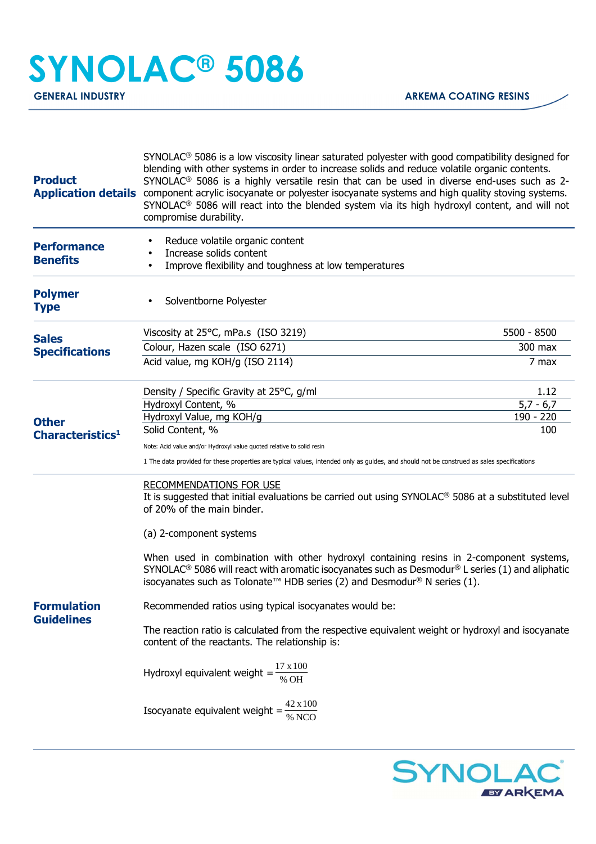# **SYNOLAC® 5086**

| <b>Product</b>                                                                                                                   | $SYNOLAC®$ 5086 is a low viscosity linear saturated polyester with good compatibility designed for<br>blending with other systems in order to increase solids and reduce volatile organic contents.<br>SYNOLAC <sup>®</sup> 5086 is a highly versatile resin that can be used in diverse end-uses such as 2-<br>Application details component acrylic isocyanate or polyester isocyanate systems and high quality stoving systems.<br>SYNOLAC <sup>®</sup> 5086 will react into the blended system via its high hydroxyl content, and will not<br>compromise durability. |             |  |
|----------------------------------------------------------------------------------------------------------------------------------|--------------------------------------------------------------------------------------------------------------------------------------------------------------------------------------------------------------------------------------------------------------------------------------------------------------------------------------------------------------------------------------------------------------------------------------------------------------------------------------------------------------------------------------------------------------------------|-------------|--|
| <b>Performance</b><br><b>Benefits</b>                                                                                            | Reduce volatile organic content<br>Increase solids content<br>Improve flexibility and toughness at low temperatures                                                                                                                                                                                                                                                                                                                                                                                                                                                      |             |  |
| <b>Polymer</b><br><b>Type</b>                                                                                                    | Solventborne Polyester                                                                                                                                                                                                                                                                                                                                                                                                                                                                                                                                                   |             |  |
| <b>Sales</b><br><b>Specifications</b><br><b>Other</b><br>Characteristics <sup>1</sup><br><b>Formulation</b><br><b>Guidelines</b> | Viscosity at 25°C, mPa.s (ISO 3219)                                                                                                                                                                                                                                                                                                                                                                                                                                                                                                                                      | 5500 - 8500 |  |
|                                                                                                                                  | Colour, Hazen scale (ISO 6271)                                                                                                                                                                                                                                                                                                                                                                                                                                                                                                                                           | 300 max     |  |
|                                                                                                                                  | Acid value, mg KOH/g (ISO 2114)                                                                                                                                                                                                                                                                                                                                                                                                                                                                                                                                          | 7 max       |  |
|                                                                                                                                  | Density / Specific Gravity at 25°C, g/ml                                                                                                                                                                                                                                                                                                                                                                                                                                                                                                                                 | 1.12        |  |
|                                                                                                                                  | Hydroxyl Content, %                                                                                                                                                                                                                                                                                                                                                                                                                                                                                                                                                      | $5,7 - 6,7$ |  |
|                                                                                                                                  | Hydroxyl Value, mg KOH/g                                                                                                                                                                                                                                                                                                                                                                                                                                                                                                                                                 | 190 - 220   |  |
|                                                                                                                                  | Solid Content, %                                                                                                                                                                                                                                                                                                                                                                                                                                                                                                                                                         | 100         |  |
|                                                                                                                                  | Note: Acid value and/or Hydroxyl value quoted relative to solid resin                                                                                                                                                                                                                                                                                                                                                                                                                                                                                                    |             |  |
|                                                                                                                                  | 1 The data provided for these properties are typical values, intended only as guides, and should not be construed as sales specifications                                                                                                                                                                                                                                                                                                                                                                                                                                |             |  |
|                                                                                                                                  | <b>RECOMMENDATIONS FOR USE</b><br>It is suggested that initial evaluations be carried out using SYNOLAC <sup>®</sup> 5086 at a substituted level<br>of 20% of the main binder.                                                                                                                                                                                                                                                                                                                                                                                           |             |  |
|                                                                                                                                  | (a) 2-component systems                                                                                                                                                                                                                                                                                                                                                                                                                                                                                                                                                  |             |  |
|                                                                                                                                  | When used in combination with other hydroxyl containing resins in 2-component systems,<br>SYNOLAC <sup>®</sup> 5086 will react with aromatic isocyanates such as Desmodur <sup>®</sup> L series (1) and aliphatic<br>isocyanates such as Tolonate™ HDB series (2) and Desmodur® N series (1).                                                                                                                                                                                                                                                                            |             |  |
|                                                                                                                                  | Recommended ratios using typical isocyanates would be:                                                                                                                                                                                                                                                                                                                                                                                                                                                                                                                   |             |  |
|                                                                                                                                  | The reaction ratio is calculated from the respective equivalent weight or hydroxyl and isocyanate<br>content of the reactants. The relationship is:                                                                                                                                                                                                                                                                                                                                                                                                                      |             |  |
|                                                                                                                                  | Hydroxyl equivalent weight = $\frac{17 \times 100}{\% \text{ OH}}$                                                                                                                                                                                                                                                                                                                                                                                                                                                                                                       |             |  |
|                                                                                                                                  | Isocyanate equivalent weight = $\frac{42 \times 100}{\% \text{ NCO}}$                                                                                                                                                                                                                                                                                                                                                                                                                                                                                                    |             |  |